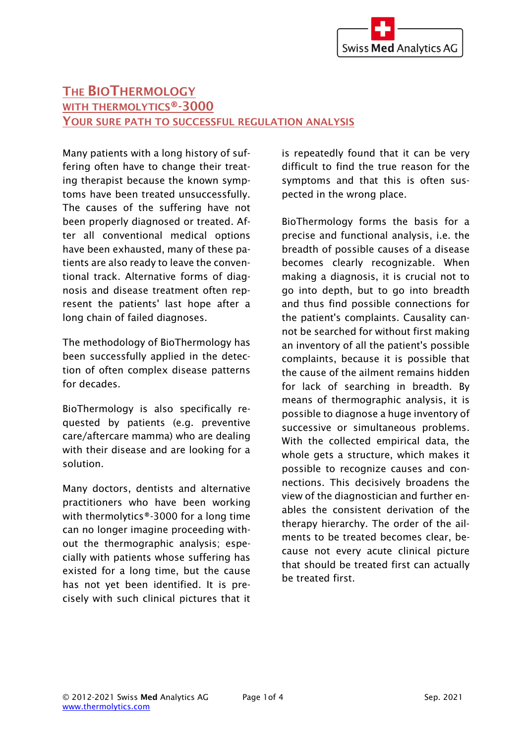## THE BIOTHERMOLOGY WITH THERMOLYTICS®-3000 YOUR SURE PATH TO SUCCESSFUL REGULATION ANALYSIS

Many patients with a long history of suffering often have to change their treating therapist because the known symptoms have been treated unsuccessfully. The causes of the suffering have not been properly diagnosed or treated. After all conventional medical options have been exhausted, many of these patients are also ready to leave the conventional track. Alternative forms of diagnosis and disease treatment often represent the patients' last hope after a long chain of failed diagnoses.

The methodology of BioThermology has been successfully applied in the detection of often complex disease patterns for decades.

BioThermology is also specifically requested by patients (e.g. preventive care/aftercare mamma) who are dealing with their disease and are looking for a solution.

Many doctors, dentists and alternative practitioners who have been working with thermolytics®-3000 for a long time can no longer imagine proceeding without the thermographic analysis; especially with patients whose suffering has existed for a long time, but the cause has not yet been identified. It is precisely with such clinical pictures that it

is repeatedly found that it can be very difficult to find the true reason for the symptoms and that this is often suspected in the wrong place.

BioThermology forms the basis for a precise and functional analysis, i.e. the breadth of possible causes of a disease becomes clearly recognizable. When making a diagnosis, it is crucial not to go into depth, but to go into breadth and thus find possible connections for the patient's complaints. Causality cannot be searched for without first making an inventory of all the patient's possible complaints, because it is possible that the cause of the ailment remains hidden for lack of searching in breadth. By means of thermographic analysis, it is possible to diagnose a huge inventory of successive or simultaneous problems. With the collected empirical data, the whole gets a structure, which makes it possible to recognize causes and connections. This decisively broadens the view of the diagnostician and further enables the consistent derivation of the therapy hierarchy. The order of the ailments to be treated becomes clear, because not every acute clinical picture that should be treated first can actually be treated first.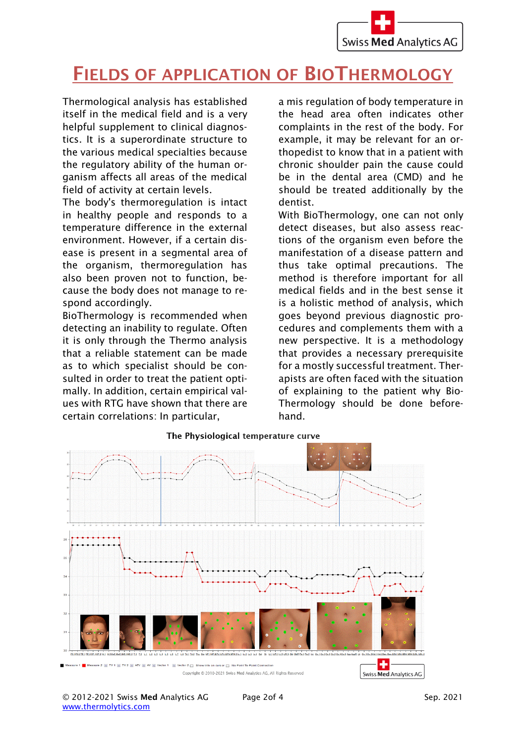

## FIELDS OF APPLICATION OF BIOTHERMOLOGY

Thermological analysis has established itself in the medical field and is a very helpful supplement to clinical diagnostics. It is a superordinate structure to the various medical specialties because the regulatory ability of the human organism affects all areas of the medical field of activity at certain levels.

The body's thermoregulation is intact in healthy people and responds to a temperature difference in the external environment. However, if a certain disease is present in a segmental area of the organism, thermoregulation has also been proven not to function, because the body does not manage to respond accordingly.

BioThermology is recommended when detecting an inability to regulate. Often it is only through the Thermo analysis that a reliable statement can be made as to which specialist should be consulted in order to treat the patient optimally. In addition, certain empirical values with RTG have shown that there are certain correlations: In particular,

a mis regulation of body temperature in the head area often indicates other complaints in the rest of the body. For example, it may be relevant for an orthopedist to know that in a patient with chronic shoulder pain the cause could be in the dental area (CMD) and he should be treated additionally by the dentist.

With BioThermology, one can not only detect diseases, but also assess reactions of the organism even before the manifestation of a disease pattern and thus take optimal precautions. The method is therefore important for all medical fields and in the best sense it is a holistic method of analysis, which goes beyond previous diagnostic procedures and complements them with a new perspective. It is a methodology that provides a necessary prerequisite for a mostly successful treatment. Therapists are often faced with the situation of explaining to the patient why Bio-Thermology should be done beforehand.



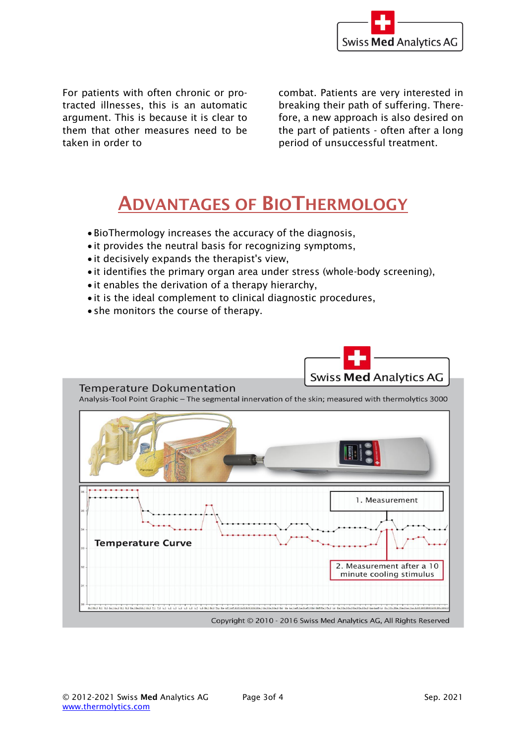

For patients with often chronic or protracted illnesses, this is an automatic argument. This is because it is clear to them that other measures need to be taken in order to

combat. Patients are very interested in breaking their path of suffering. Therefore, a new approach is also desired on the part of patients - often after a long period of unsuccessful treatment.

## ADVANTAGES OF BIOTHERMOLOGY

- BioThermology increases the accuracy of the diagnosis,
- it provides the neutral basis for recognizing symptoms,
- it decisively expands the therapist's view,
- it identifies the primary organ area under stress (whole-body screening),
- it enables the derivation of a therapy hierarchy,
- it is the ideal complement to clinical diagnostic procedures,
- she monitors the course of therapy.



Temperature Dokumentation

Analysis-Tool Point Graphic - The segmental innervation of the skin; measured with thermolytics 3000